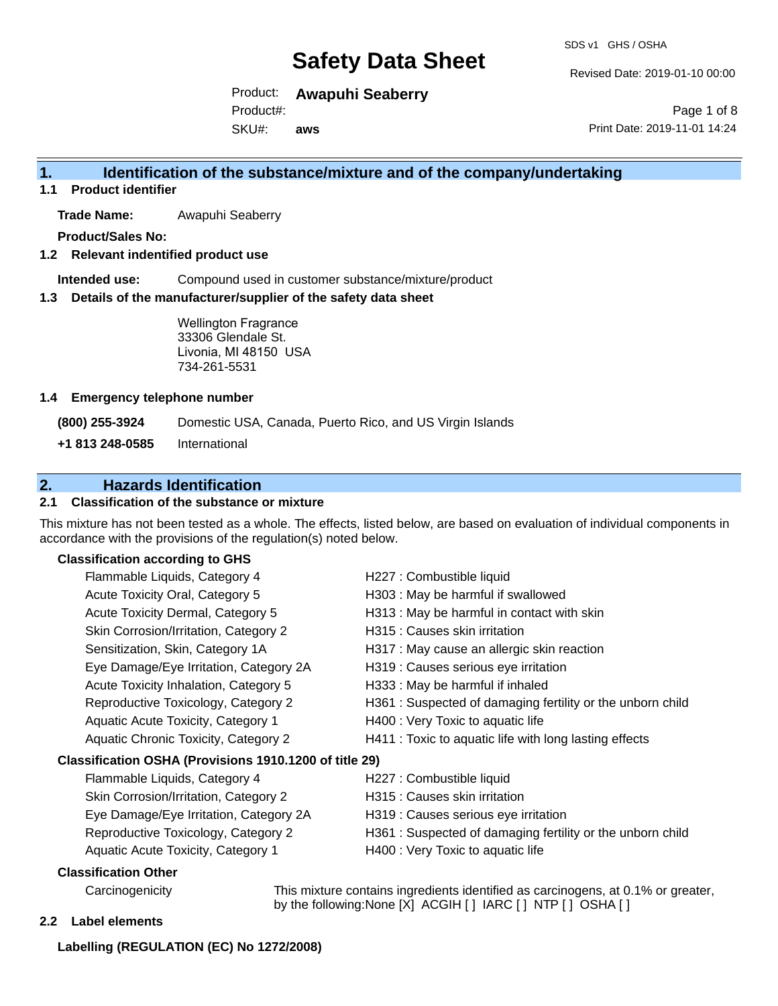Revised Date: 2019-01-10 00:00

Product: **Awapuhi Seaberry**  Product#:

SKU#: **aws**

Page 1 of 8 Print Date: 2019-11-01 14:24

## **1. Identification of the substance/mixture and of the company/undertaking**

**1.1 Product identifier**

**Trade Name:** Awapuhi Seaberry

**Product/Sales No:**

**1.2 Relevant indentified product use**

**Intended use:** Compound used in customer substance/mixture/product

**1.3 Details of the manufacturer/supplier of the safety data sheet**

Wellington Fragrance 33306 Glendale St. Livonia, MI 48150 USA 734-261-5531

#### **1.4 Emergency telephone number**

**(800) 255-3924** Domestic USA, Canada, Puerto Rico, and US Virgin Islands

**+1 813 248-0585** International

## **2. Hazards Identification**

### **2.1 Classification of the substance or mixture**

This mixture has not been tested as a whole. The effects, listed below, are based on evaluation of individual components in accordance with the provisions of the regulation(s) noted below.

### **Classification according to GHS**

| H227 : Combustible liquid                                 |
|-----------------------------------------------------------|
| H303 : May be harmful if swallowed                        |
| H313 : May be harmful in contact with skin                |
| H315 : Causes skin irritation                             |
| H317 : May cause an allergic skin reaction                |
| H319 : Causes serious eye irritation                      |
| H333: May be harmful if inhaled                           |
| H361: Suspected of damaging fertility or the unborn child |
| H400 : Very Toxic to aquatic life                         |
| H411 : Toxic to aquatic life with long lasting effects    |
| Classification OSHA (Provisions 1910.1200 of title 29)    |
| H227 : Combustible liquid                                 |
| H315 : Causes skin irritation                             |
| H319 : Causes serious eye irritation                      |
| H361: Suspected of damaging fertility or the unborn child |
| H400 : Very Toxic to aquatic life                         |
|                                                           |
|                                                           |

Carcinogenicity This mixture contains ingredients identified as carcinogens, at 0.1% or greater, by the following:None [X] ACGIH [ ] IARC [ ] NTP [ ] OSHA [ ]

#### **2.2 Label elements**

#### **Labelling (REGULATION (EC) No 1272/2008)**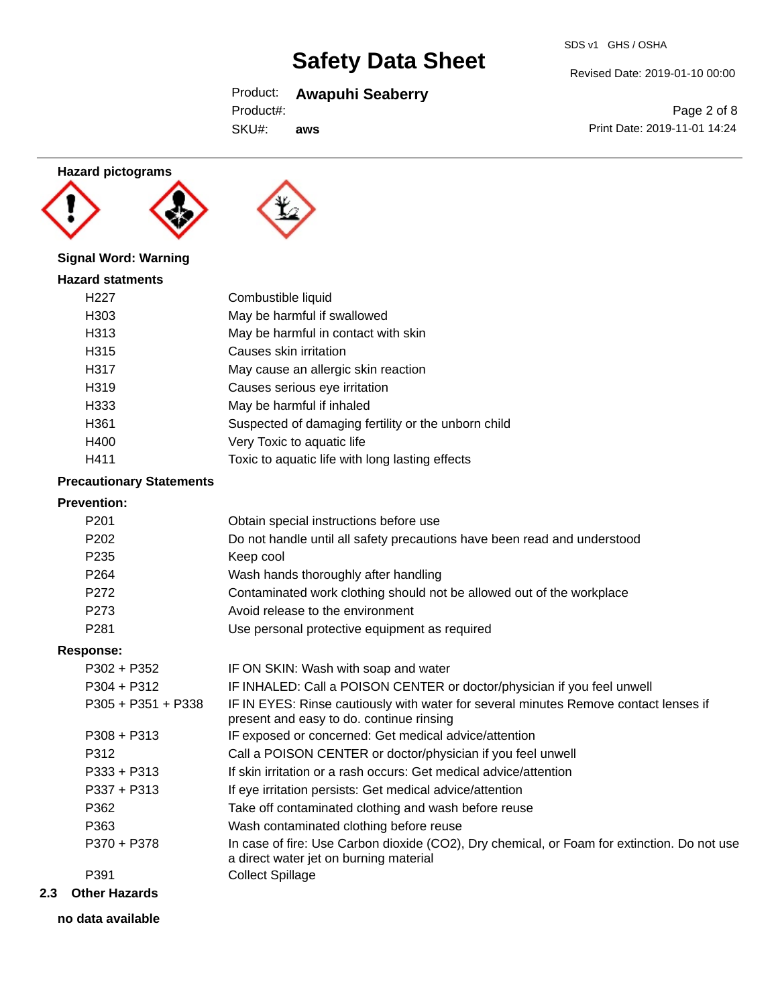# Product: **Awapuhi Seaberry**

SKU#: **aws**

# Revised Date: 2019-01-10 00:00

SDS v1 GHS / OSHA

Page 2 of 8 Print Date: 2019-11-01 14:24

## **Hazard pictograms**





## **Signal Word: Warning**

| Combustible liquid                                  |
|-----------------------------------------------------|
| May be harmful if swallowed                         |
| May be harmful in contact with skin                 |
| Causes skin irritation                              |
| May cause an allergic skin reaction                 |
| Causes serious eye irritation                       |
| May be harmful if inhaled                           |
| Suspected of damaging fertility or the unborn child |
| Very Toxic to aquatic life                          |
| Toxic to aquatic life with long lasting effects     |
|                                                     |

## **Precautionary Statements**

## **Prevention:**

| FICVEIIUUII.         |                                                                                                                                       |
|----------------------|---------------------------------------------------------------------------------------------------------------------------------------|
| P <sub>201</sub>     | Obtain special instructions before use                                                                                                |
| P <sub>202</sub>     | Do not handle until all safety precautions have been read and understood                                                              |
| P <sub>235</sub>     | Keep cool                                                                                                                             |
| P <sub>264</sub>     | Wash hands thoroughly after handling                                                                                                  |
| P272                 | Contaminated work clothing should not be allowed out of the workplace                                                                 |
| P273                 | Avoid release to the environment                                                                                                      |
| P <sub>281</sub>     | Use personal protective equipment as required                                                                                         |
| <b>Response:</b>     |                                                                                                                                       |
| $P302 + P352$        | IF ON SKIN: Wash with soap and water                                                                                                  |
| $P304 + P312$        | IF INHALED: Call a POISON CENTER or doctor/physician if you feel unwell                                                               |
| $P305 + P351 + P338$ | IF IN EYES: Rinse cautiously with water for several minutes Remove contact lenses if<br>present and easy to do. continue rinsing      |
| $P308 + P313$        | IF exposed or concerned: Get medical advice/attention                                                                                 |
| P312                 | Call a POISON CENTER or doctor/physician if you feel unwell                                                                           |
| $P333 + P313$        | If skin irritation or a rash occurs: Get medical advice/attention                                                                     |
| $P337 + P313$        | If eye irritation persists: Get medical advice/attention                                                                              |
| P362                 | Take off contaminated clothing and wash before reuse                                                                                  |
| P363                 | Wash contaminated clothing before reuse                                                                                               |
| P370 + P378          | In case of fire: Use Carbon dioxide (CO2), Dry chemical, or Foam for extinction. Do not use<br>a direct water jet on burning material |
| P391                 | <b>Collect Spillage</b>                                                                                                               |

#### **2.3 Other Hazards**

**no data available**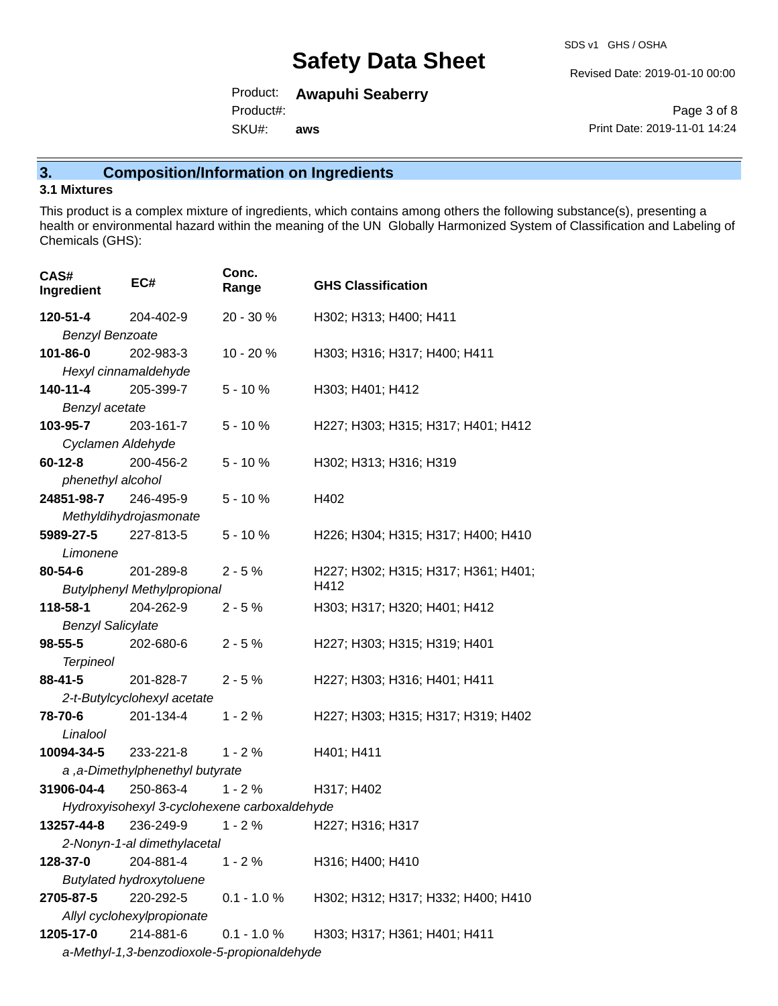SDS v1 GHS / OSHA

Revised Date: 2019-01-10 00:00

Product: **Awapuhi Seaberry**  Product#:

SKU#: **aws**

Page 3 of 8 Print Date: 2019-11-01 14:24

# **3. Composition/Information on Ingredients**

### **3.1 Mixtures**

This product is a complex mixture of ingredients, which contains among others the following substance(s), presenting a health or environmental hazard within the meaning of the UN Globally Harmonized System of Classification and Labeling of Chemicals (GHS):

| CAS#<br>Ingredient          | EC#                                          | Conc.<br>Range | <b>GHS Classification</b>           |  |
|-----------------------------|----------------------------------------------|----------------|-------------------------------------|--|
| 120-51-4                    | 204-402-9                                    | 20 - 30 %      | H302; H313; H400; H411              |  |
| <b>Benzyl Benzoate</b>      |                                              |                |                                     |  |
| 101-86-0                    | 202-983-3                                    | 10 - 20 %      | H303; H316; H317; H400; H411        |  |
| Hexyl cinnamaldehyde        |                                              |                |                                     |  |
| 140-11-4                    | 205-399-7                                    | $5 - 10%$      | H303; H401; H412                    |  |
| Benzyl acetate              |                                              |                |                                     |  |
| 103-95-7                    | 203-161-7                                    | $5 - 10%$      | H227; H303; H315; H317; H401; H412  |  |
| Cyclamen Aldehyde           |                                              |                |                                     |  |
| $60 - 12 - 8$               | 200-456-2                                    | $5 - 10%$      | H302; H313; H316; H319              |  |
| phenethyl alcohol           |                                              |                |                                     |  |
| 24851-98-7                  | 246-495-9                                    | $5 - 10%$      | H402                                |  |
|                             | Methyldihydrojasmonate                       |                |                                     |  |
| 5989-27-5                   | 227-813-5                                    | $5 - 10%$      | H226; H304; H315; H317; H400; H410  |  |
| Limonene                    |                                              |                |                                     |  |
| 80-54-6                     | 201-289-8                                    | $2 - 5%$       | H227; H302; H315; H317; H361; H401; |  |
|                             | <b>Butylphenyl Methylpropional</b>           |                | H412                                |  |
| 118-58-1                    | 204-262-9                                    | $2 - 5%$       | H303; H317; H320; H401; H412        |  |
| <b>Benzyl Salicylate</b>    |                                              |                |                                     |  |
| $98 - 55 - 5$               | 202-680-6                                    | $2 - 5%$       | H227; H303; H315; H319; H401        |  |
| <b>Terpineol</b>            |                                              |                |                                     |  |
| 88-41-5                     | 201-828-7                                    | $2 - 5%$       | H227; H303; H316; H401; H411        |  |
|                             | 2-t-Butylcyclohexyl acetate                  |                |                                     |  |
| 78-70-6<br>Linalool         | 201-134-4                                    | $1 - 2%$       | H227; H303; H315; H317; H319; H402  |  |
| <b>10094-34-5</b> 233-221-8 |                                              | $1 - 2%$       | H401; H411                          |  |
|                             | a, a-Dimethylphenethyl butyrate              |                |                                     |  |
| 31906-04-4                  | 250-863-4                                    | $1 - 2%$       | H317; H402                          |  |
|                             | Hydroxyisohexyl 3-cyclohexene carboxaldehyde |                |                                     |  |
| 13257-44-8                  | 236-249-9                                    | $1 - 2%$       | H227; H316; H317                    |  |
|                             | 2-Nonyn-1-al dimethylacetal                  |                |                                     |  |
| 128-37-0                    | 204-881-4                                    | $1 - 2%$       | H316; H400; H410                    |  |
|                             | <b>Butylated hydroxytoluene</b>              |                |                                     |  |
| 2705-87-5                   | 220-292-5                                    | $0.1 - 1.0 %$  | H302; H312; H317; H332; H400; H410  |  |
| Allyl cyclohexylpropionate  |                                              |                |                                     |  |
| 1205-17-0                   | 214-881-6                                    | $0.1 - 1.0 %$  | H303; H317; H361; H401; H411        |  |
|                             | a-Methyl-1,3-benzodioxole-5-propionaldehyde  |                |                                     |  |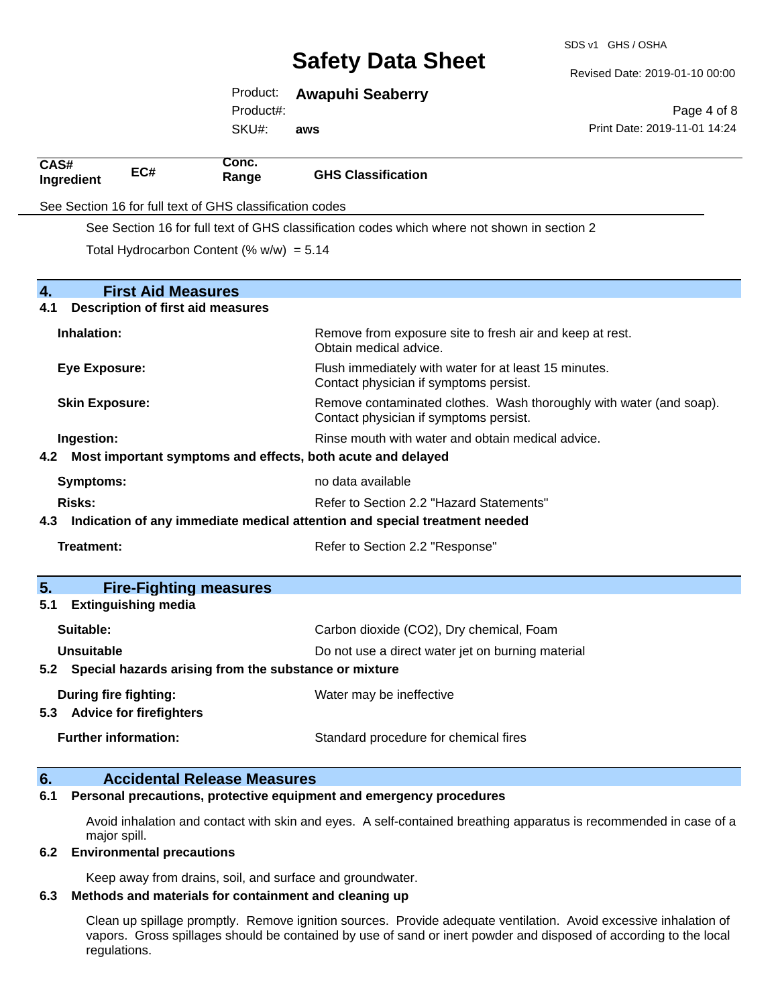SDS v1 GHS / OSHA

Revised Date: 2019-01-10 00:00

| Product:  | <b>Awapuhi Seaberry</b> |
|-----------|-------------------------|
| Product#: |                         |

SKU#: **aws**

Page 4 of 8 Print Date: 2019-11-01 14:24

| CAS#<br>Ingredient                                                                | EC#                                                                                         | Conc.<br>Range                                            | <b>GHS Classification</b>                                                                                     |  |  |
|-----------------------------------------------------------------------------------|---------------------------------------------------------------------------------------------|-----------------------------------------------------------|---------------------------------------------------------------------------------------------------------------|--|--|
|                                                                                   | See Section 16 for full text of GHS classification codes                                    |                                                           |                                                                                                               |  |  |
|                                                                                   | See Section 16 for full text of GHS classification codes which where not shown in section 2 |                                                           |                                                                                                               |  |  |
|                                                                                   |                                                                                             | Total Hydrocarbon Content (% $w/w$ ) = 5.14               |                                                                                                               |  |  |
|                                                                                   |                                                                                             |                                                           |                                                                                                               |  |  |
| $\overline{4}$ .                                                                  | <b>First Aid Measures</b>                                                                   |                                                           |                                                                                                               |  |  |
| 4.1                                                                               |                                                                                             | <b>Description of first aid measures</b>                  |                                                                                                               |  |  |
| Inhalation:                                                                       |                                                                                             |                                                           | Remove from exposure site to fresh air and keep at rest.<br>Obtain medical advice.                            |  |  |
| <b>Eye Exposure:</b>                                                              |                                                                                             |                                                           | Flush immediately with water for at least 15 minutes.<br>Contact physician if symptoms persist.               |  |  |
| <b>Skin Exposure:</b>                                                             |                                                                                             |                                                           | Remove contaminated clothes. Wash thoroughly with water (and soap).<br>Contact physician if symptoms persist. |  |  |
| Ingestion:                                                                        |                                                                                             |                                                           | Rinse mouth with water and obtain medical advice.                                                             |  |  |
|                                                                                   |                                                                                             |                                                           | 4.2 Most important symptoms and effects, both acute and delayed                                               |  |  |
| <b>Symptoms:</b>                                                                  |                                                                                             |                                                           | no data available                                                                                             |  |  |
| Risks:                                                                            |                                                                                             |                                                           | Refer to Section 2.2 "Hazard Statements"                                                                      |  |  |
| Indication of any immediate medical attention and special treatment needed<br>4.3 |                                                                                             |                                                           |                                                                                                               |  |  |
| Treatment:                                                                        |                                                                                             |                                                           | Refer to Section 2.2 "Response"                                                                               |  |  |
| 5.                                                                                |                                                                                             | <b>Fire-Fighting measures</b>                             |                                                                                                               |  |  |
| 5.1                                                                               | <b>Extinguishing media</b>                                                                  |                                                           |                                                                                                               |  |  |
| Suitable:                                                                         |                                                                                             |                                                           | Carbon dioxide (CO2), Dry chemical, Foam                                                                      |  |  |
| Unsuitable                                                                        |                                                                                             |                                                           | Do not use a direct water jet on burning material                                                             |  |  |
|                                                                                   |                                                                                             | 5.2 Special hazards arising from the substance or mixture |                                                                                                               |  |  |
|                                                                                   | During fire fighting:<br>5.3 Advice for firefighters                                        |                                                           | Water may be ineffective                                                                                      |  |  |
|                                                                                   | <b>Further information:</b>                                                                 |                                                           | Standard procedure for chemical fires                                                                         |  |  |
| 6.                                                                                |                                                                                             | <b>Accidental Release Measures</b>                        |                                                                                                               |  |  |

#### **6.1 Personal precautions, protective equipment and emergency procedures**

Avoid inhalation and contact with skin and eyes. A self-contained breathing apparatus is recommended in case of a major spill.

#### **6.2 Environmental precautions**

Keep away from drains, soil, and surface and groundwater.

### **6.3 Methods and materials for containment and cleaning up**

Clean up spillage promptly. Remove ignition sources. Provide adequate ventilation. Avoid excessive inhalation of vapors. Gross spillages should be contained by use of sand or inert powder and disposed of according to the local regulations.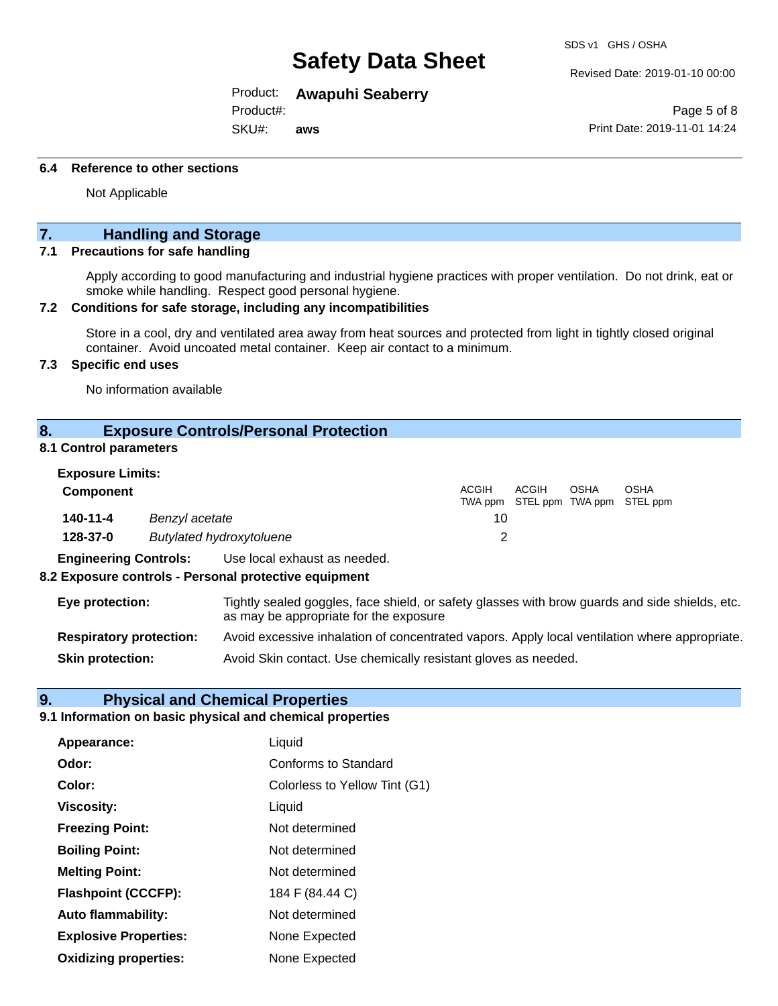Product: **Awapuhi Seaberry** 

Product#:

SKU#: **aws** SDS v1 GHS / OSHA

Revised Date: 2019-01-10 00:00

Page 5 of 8 Print Date: 2019-11-01 14:24

#### **6.4 Reference to other sections**

Not Applicable

## **7. Handling and Storage**

### **7.1 Precautions for safe handling**

Apply according to good manufacturing and industrial hygiene practices with proper ventilation. Do not drink, eat or smoke while handling. Respect good personal hygiene.

#### **7.2 Conditions for safe storage, including any incompatibilities**

Store in a cool, dry and ventilated area away from heat sources and protected from light in tightly closed original container. Avoid uncoated metal container. Keep air contact to a minimum.

### **7.3 Specific end uses**

No information available

#### **8. Exposure Controls/Personal Protection**

#### **8.1 Control parameters**

| <b>Exposure Limits:</b>      |                                 |                              |       |       |      |                                                  |  |
|------------------------------|---------------------------------|------------------------------|-------|-------|------|--------------------------------------------------|--|
| <b>Component</b>             |                                 |                              | ACGIH | ACGIH | OSHA | <b>OSHA</b><br>TWA ppm STEL ppm TWA ppm STEL ppm |  |
| 140-11-4<br>Benzyl acetate   |                                 | 10                           |       |       |      |                                                  |  |
| 128-37-0                     | <b>Butylated hydroxytoluene</b> |                              |       |       |      |                                                  |  |
| <b>Engineering Controls:</b> |                                 | Use local exhaust as needed. |       |       |      |                                                  |  |

#### **8.2 Exposure controls - Personal protective equipment**

| Eye protection:                | Tightly sealed goggles, face shield, or safety glasses with brow guards and side shields, etc.<br>as may be appropriate for the exposure |
|--------------------------------|------------------------------------------------------------------------------------------------------------------------------------------|
| <b>Respiratory protection:</b> | Avoid excessive inhalation of concentrated vapors. Apply local ventilation where appropriate.                                            |
| <b>Skin protection:</b>        | Avoid Skin contact. Use chemically resistant gloves as needed.                                                                           |

#### **9. Physical and Chemical Properties**

#### **9.1 Information on basic physical and chemical properties**

| Appearance:                  | Liquid                        |
|------------------------------|-------------------------------|
| Odor:                        | <b>Conforms to Standard</b>   |
| Color:                       | Colorless to Yellow Tint (G1) |
| <b>Viscosity:</b>            | Liquid                        |
| <b>Freezing Point:</b>       | Not determined                |
| <b>Boiling Point:</b>        | Not determined                |
| <b>Melting Point:</b>        | Not determined                |
| <b>Flashpoint (CCCFP):</b>   | 184 F (84.44 C)               |
| <b>Auto flammability:</b>    | Not determined                |
| <b>Explosive Properties:</b> | None Expected                 |
| <b>Oxidizing properties:</b> | None Expected                 |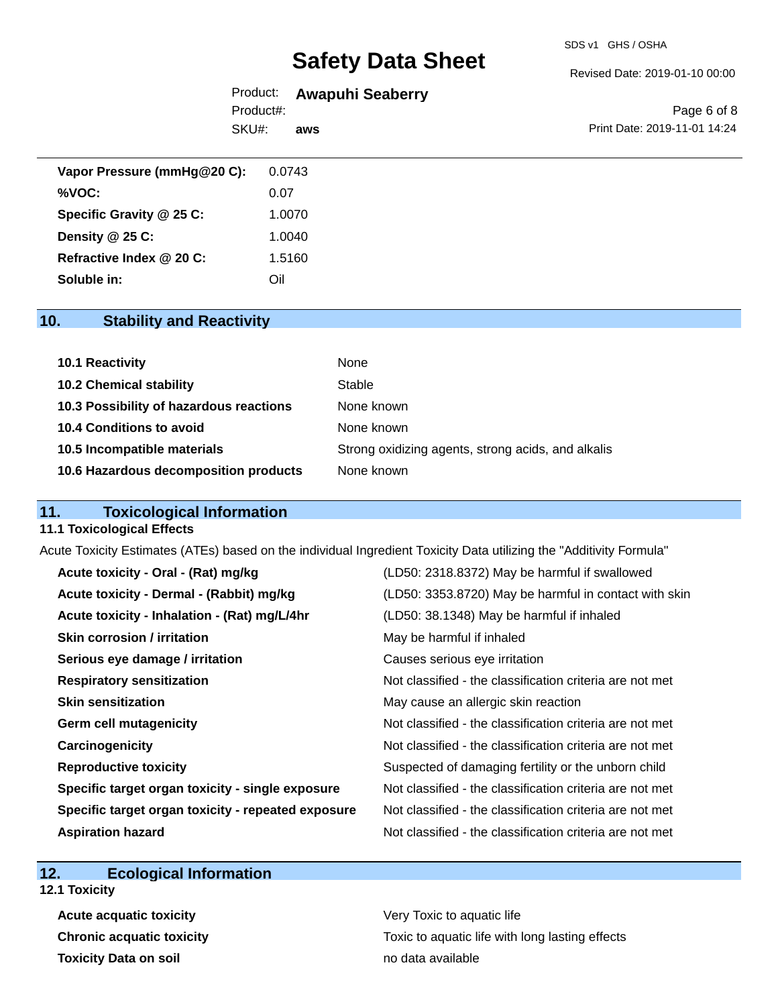#### Revised Date: 2019-01-10 00:00

## Product: **Awapuhi Seaberry**

SKU#: Product#: **aws**

Page 6 of 8 Print Date: 2019-11-01 14:24

| Vapor Pressure (mmHg@20 C): | 0.0743 |
|-----------------------------|--------|
| %VOC:                       | 0.07   |
| Specific Gravity @ 25 C:    | 1.0070 |
| Density @ 25 C:             | 1.0040 |
| Refractive Index @ 20 C:    | 1.5160 |
| Soluble in:                 | Oil    |

## **10. Stability and Reactivity**

| <b>10.1 Reactivity</b>                  | None                                               |
|-----------------------------------------|----------------------------------------------------|
| <b>10.2 Chemical stability</b>          | Stable                                             |
| 10.3 Possibility of hazardous reactions | None known                                         |
| 10.4 Conditions to avoid                | None known                                         |
| 10.5 Incompatible materials             | Strong oxidizing agents, strong acids, and alkalis |
| 10.6 Hazardous decomposition products   | None known                                         |

## **11. Toxicological Information**

#### **11.1 Toxicological Effects**

Acute Toxicity Estimates (ATEs) based on the individual Ingredient Toxicity Data utilizing the "Additivity Formula"

| Acute toxicity - Oral - (Rat) mg/kg                | (LD50: 2318.8372) May be harmful if swallowed            |
|----------------------------------------------------|----------------------------------------------------------|
| Acute toxicity - Dermal - (Rabbit) mg/kg           | (LD50: 3353.8720) May be harmful in contact with skin    |
| Acute toxicity - Inhalation - (Rat) mg/L/4hr       | (LD50: 38.1348) May be harmful if inhaled                |
| <b>Skin corrosion / irritation</b>                 | May be harmful if inhaled                                |
| Serious eye damage / irritation                    | Causes serious eye irritation                            |
| <b>Respiratory sensitization</b>                   | Not classified - the classification criteria are not met |
| <b>Skin sensitization</b>                          | May cause an allergic skin reaction                      |
| <b>Germ cell mutagenicity</b>                      | Not classified - the classification criteria are not met |
| Carcinogenicity                                    | Not classified - the classification criteria are not met |
| <b>Reproductive toxicity</b>                       | Suspected of damaging fertility or the unborn child      |
| Specific target organ toxicity - single exposure   | Not classified - the classification criteria are not met |
| Specific target organ toxicity - repeated exposure | Not classified - the classification criteria are not met |
| <b>Aspiration hazard</b>                           | Not classified - the classification criteria are not met |

## **12. Ecological Information**

- **12.1 Toxicity**
	- **Acute acquatic toxicity Very Toxic to aquatic life Toxicity Data on soil no data available no data available**

**Chronic acquatic toxicity Toxic to aquatic life with long lasting effects**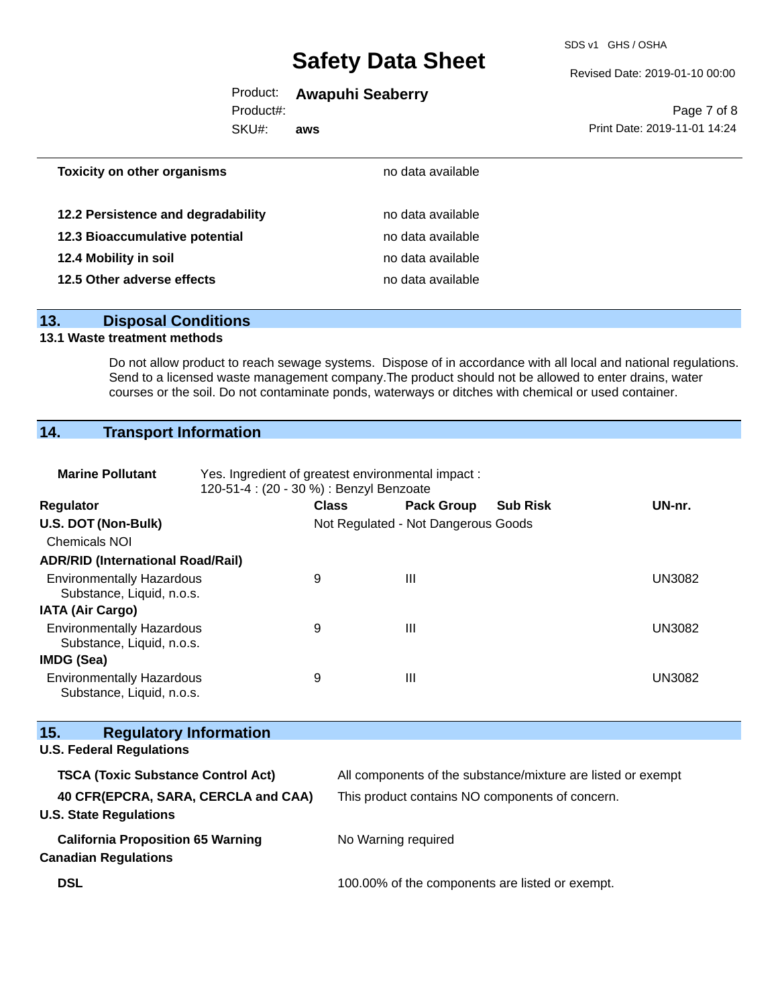SDS v1 GHS / OSHA

#### Revised Date: 2019-01-10 00:00

## Product: **Awapuhi Seaberry**

Product#:

SKU#: **aws**

Page 7 of 8 Print Date: 2019-11-01 14:24

## **13. Disposal Conditions**

## **13.1 Waste treatment methods**

Do not allow product to reach sewage systems. Dispose of in accordance with all local and national regulations. Send to a licensed waste management company.The product should not be allowed to enter drains, water courses or the soil. Do not contaminate ponds, waterways or ditches with chemical or used container.

## **14. Transport Information**

| <b>Marine Pollutant</b>                                                 | Yes. Ingredient of greatest environmental impact:<br>120-51-4 : (20 - 30 %) : Benzyl Benzoate |                                                              |                 |               |  |  |
|-------------------------------------------------------------------------|-----------------------------------------------------------------------------------------------|--------------------------------------------------------------|-----------------|---------------|--|--|
| Regulator                                                               | <b>Class</b>                                                                                  | <b>Pack Group</b>                                            | <b>Sub Risk</b> | UN-nr.        |  |  |
| U.S. DOT (Non-Bulk)                                                     |                                                                                               | Not Regulated - Not Dangerous Goods                          |                 |               |  |  |
| <b>Chemicals NOI</b>                                                    |                                                                                               |                                                              |                 |               |  |  |
| <b>ADR/RID (International Road/Rail)</b>                                |                                                                                               |                                                              |                 |               |  |  |
| <b>Environmentally Hazardous</b><br>Substance, Liquid, n.o.s.           | 9                                                                                             | Ш                                                            |                 | <b>UN3082</b> |  |  |
| <b>IATA (Air Cargo)</b>                                                 |                                                                                               |                                                              |                 |               |  |  |
| <b>Environmentally Hazardous</b><br>Substance, Liquid, n.o.s.           | 9                                                                                             | $\mathbf{III}$                                               |                 | <b>UN3082</b> |  |  |
| <b>IMDG (Sea)</b>                                                       |                                                                                               |                                                              |                 |               |  |  |
| <b>Environmentally Hazardous</b><br>Substance, Liquid, n.o.s.           | 9                                                                                             | $\mathbf{III}$                                               |                 | <b>UN3082</b> |  |  |
| 15.<br><b>Regulatory Information</b>                                    |                                                                                               |                                                              |                 |               |  |  |
| <b>U.S. Federal Regulations</b>                                         |                                                                                               |                                                              |                 |               |  |  |
| <b>TSCA (Toxic Substance Control Act)</b>                               |                                                                                               | All components of the substance/mixture are listed or exempt |                 |               |  |  |
| 40 CFR(EPCRA, SARA, CERCLA and CAA)<br><b>U.S. State Regulations</b>    |                                                                                               | This product contains NO components of concern.              |                 |               |  |  |
| <b>California Proposition 65 Warning</b><br><b>Canadian Regulations</b> |                                                                                               | No Warning required                                          |                 |               |  |  |
| <b>DSL</b>                                                              |                                                                                               | 100.00% of the components are listed or exempt.              |                 |               |  |  |